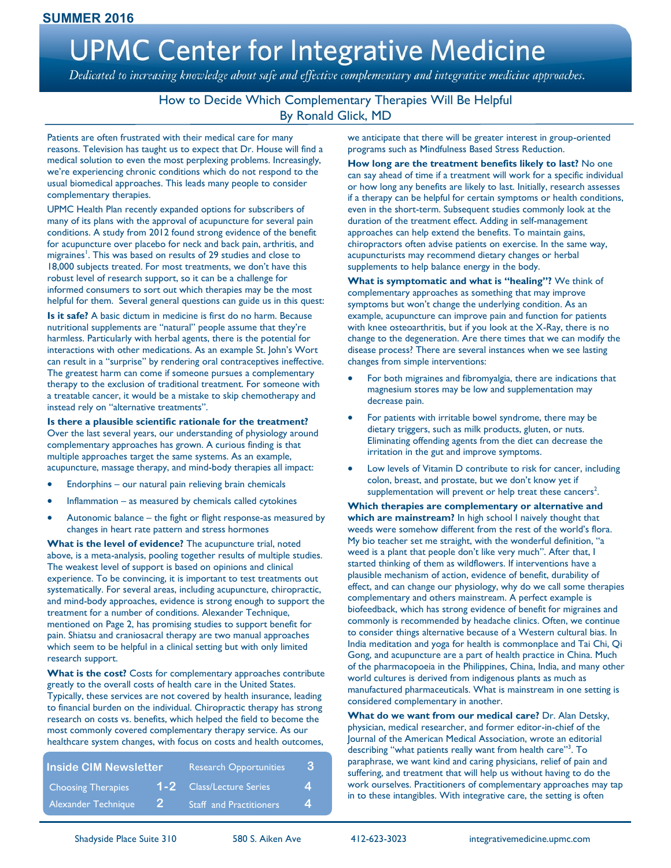# **UPMC Center for Integrative Medicine**

Dedicated to increasing knowledge about safe and effective complementary and integrative medicine approaches.

#### How to Decide Which Complementary Therapies Will Be Helpful By Ronald Glick, MD

Patients are often frustrated with their medical care for many reasons. Television has taught us to expect that Dr. House will find a medical solution to even the most perplexing problems. Increasingly, we're experiencing chronic conditions which do not respond to the usual biomedical approaches. This leads many people to consider complementary therapies.

UPMC Health Plan recently expanded options for subscribers of many of its plans with the approval of acupuncture for several pain conditions. A study from 2012 found strong evidence of the benefit for acupuncture over placebo for neck and back pain, arthritis, and migraines<sup>1</sup>. This was based on results of 29 studies and close to 18,000 subjects treated. For most treatments, we don't have this robust level of research support, so it can be a challenge for informed consumers to sort out which therapies may be the most helpful for them. Several general questions can guide us in this quest:

**Is it safe?** A basic dictum in medicine is first do no harm. Because nutritional supplements are "natural" people assume that they're harmless. Particularly with herbal agents, there is the potential for interactions with other medications. As an example St. John's Wort can result in a "surprise" by rendering oral contraceptives ineffective. The greatest harm can come if someone pursues a complementary therapy to the exclusion of traditional treatment. For someone with a treatable cancer, it would be a mistake to skip chemotherapy and instead rely on "alternative treatments".

**Is there a plausible scientific rationale for the treatment?**  Over the last several years, our understanding of physiology around complementary approaches has grown. A curious finding is that multiple approaches target the same systems. As an example, acupuncture, massage therapy, and mind-body therapies all impact:

- Endorphins our natural pain relieving brain chemicals
- Inflammation as measured by chemicals called cytokines
- Autonomic balance the fight or flight response-as measured by changes in heart rate pattern and stress hormones

**What is the level of evidence?** The acupuncture trial, noted above, is a meta-analysis, pooling together results of multiple studies. The weakest level of support is based on opinions and clinical experience. To be convincing, it is important to test treatments out systematically. For several areas, including acupuncture, chiropractic, and mind-body approaches, evidence is strong enough to support the treatment for a number of conditions. Alexander Technique, mentioned on Page 2, has promising studies to support benefit for pain. Shiatsu and craniosacral therapy are two manual approaches which seem to be helpful in a clinical setting but with only limited research support.

**What is the cost?** Costs for complementary approaches contribute greatly to the overall costs of health care in the United States. Typically, these services are not covered by health insurance, leading to financial burden on the individual. Chiropractic therapy has strong research on costs vs. benefits, which helped the field to become the most commonly covered complementary therapy service. As our healthcare system changes, with focus on costs and health outcomes,

| <b>Inside CIM Newsletter</b> |              | <b>Research Opportunities</b>  | 13               |
|------------------------------|--------------|--------------------------------|------------------|
| <b>Choosing Therapies</b>    |              | 1-2 Class/Lecture Series       | $\boldsymbol{4}$ |
| Alexander Technique          | $\mathbf{2}$ | <b>Staff</b> and Practitioners | $\mathbf 4$      |

we anticipate that there will be greater interest in group-oriented programs such as Mindfulness Based Stress Reduction.

**How long are the treatment benefits likely to last?** No one can say ahead of time if a treatment will work for a specific individual or how long any benefits are likely to last. Initially, research assesses if a therapy can be helpful for certain symptoms or health conditions, even in the short-term. Subsequent studies commonly look at the duration of the treatment effect. Adding in self-management approaches can help extend the benefits. To maintain gains, chiropractors often advise patients on exercise. In the same way, acupuncturists may recommend dietary changes or herbal supplements to help balance energy in the body.

**What is symptomatic and what is "healing"?** We think of complementary approaches as something that may improve symptoms but won't change the underlying condition. As an example, acupuncture can improve pain and function for patients with knee osteoarthritis, but if you look at the X-Ray, there is no change to the degeneration. Are there times that we can modify the disease process? There are several instances when we see lasting changes from simple interventions:

- For both migraines and fibromyalgia, there are indications that magnesium stores may be low and supplementation may decrease pain.
- For patients with irritable bowel syndrome, there may be dietary triggers, such as milk products, gluten, or nuts. Eliminating offending agents from the diet can decrease the irritation in the gut and improve symptoms.
- Low levels of Vitamin D contribute to risk for cancer, including colon, breast, and prostate, but we don't know yet if supplementation will prevent or help treat these cancers<sup>2</sup>.

**Which therapies are complementary or alternative and which are mainstream?** In high school I naively thought that weeds were somehow different from the rest of the world's flora. My bio teacher set me straight, with the wonderful definition, "a weed is a plant that people don't like very much". After that, I started thinking of them as wildflowers. If interventions have a plausible mechanism of action, evidence of benefit, durability of effect, and can change our physiology, why do we call some therapies complementary and others mainstream. A perfect example is biofeedback, which has strong evidence of benefit for migraines and commonly is recommended by headache clinics. Often, we continue to consider things alternative because of a Western cultural bias. In India meditation and yoga for health is commonplace and Tai Chi, Qi Gong, and acupuncture are a part of health practice in China. Much of the pharmacopoeia in the Philippines, China, India, and many other world cultures is derived from indigenous plants as much as manufactured pharmaceuticals. What is mainstream in one setting is considered complementary in another.

**What do we want from our medical care?** Dr. Alan Detsky, physician, medical researcher, and former editor-in-chief of the Journal of the American Medical Association, wrote an editorial describing "what patients really want from health care"<sup>3</sup>. To paraphrase, we want kind and caring physicians, relief of pain and suffering, and treatment that will help us without having to do the work ourselves. Practitioners of complementary approaches may tap in to these intangibles. With integrative care, the setting is often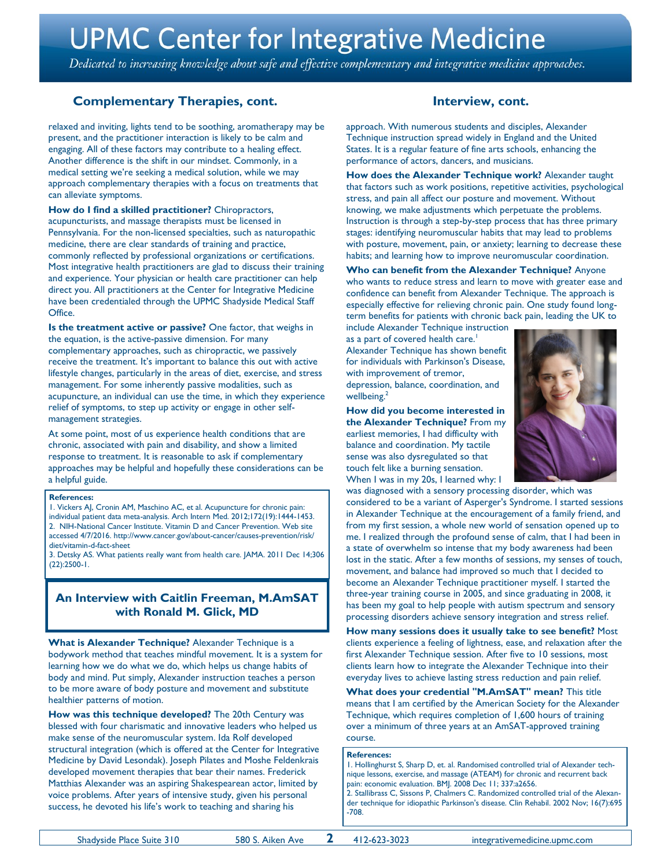## **UPMC Center for Integrative Medicine**

Dedicated to increasing knowledge about safe and effective complementary and integrative medicine approaches.

#### **Complementary Therapies, cont.** The state of the linterview, cont.

relaxed and inviting, lights tend to be soothing, aromatherapy may be present, and the practitioner interaction is likely to be calm and engaging. All of these factors may contribute to a healing effect. Another difference is the shift in our mindset. Commonly, in a medical setting we're seeking a medical solution, while we may approach complementary therapies with a focus on treatments that can alleviate symptoms.

**How do I find a skilled practitioner?** Chiropractors, acupuncturists, and massage therapists must be licensed in Pennsylvania. For the non-licensed specialties, such as naturopathic medicine, there are clear standards of training and practice, commonly reflected by professional organizations or certifications. Most integrative health practitioners are glad to discuss their training and experience. Your physician or health care practitioner can help direct you. All practitioners at the Center for Integrative Medicine have been credentialed through the UPMC Shadyside Medical Staff **Office** 

**Is the treatment active or passive?** One factor, that weighs in the equation, is the active-passive dimension. For many complementary approaches, such as chiropractic, we passively receive the treatment. It's important to balance this out with active lifestyle changes, particularly in the areas of diet, exercise, and stress management. For some inherently passive modalities, such as acupuncture, an individual can use the time, in which they experience relief of symptoms, to step up activity or engage in other selfmanagement strategies.

At some point, most of us experience health conditions that are chronic, associated with pain and disability, and show a limited response to treatment. It is reasonable to ask if complementary approaches may be helpful and hopefully these considerations can be a helpful guide.

#### **References:**

1. Vickers AJ, Cronin AM, Maschino AC, et al. Acupuncture for chronic pain: individual patient data meta-analysis. Arch Intern Med. 2012;172(19):1444-1453. 2. NIH-National Cancer Institute. Vitamin D and Cancer Prevention. Web site accessed 4/7/2016. http://www.cancer.gov/about-cancer/causes-prevention/risk/ diet/vitamin-d-fact-sheet

3. Detsky AS. What patients really want from health care. JAMA. 2011 Dec 14;306 (22):2500-1.

#### **An Interview with Caitlin Freeman, M.AmSAT with Ronald M. Glick, MD**

**What is Alexander Technique?** Alexander Technique is a bodywork method that teaches mindful movement. It is a system for learning how we do what we do, which helps us change habits of body and mind. Put simply, Alexander instruction teaches a person to be more aware of body posture and movement and substitute healthier patterns of motion.

**How was this technique developed?** The 20th Century was blessed with four charismatic and innovative leaders who helped us make sense of the neuromuscular system. Ida Rolf developed structural integration (which is offered at the Center for Integrative Medicine by David Lesondak). Joseph Pilates and Moshe Feldenkrais developed movement therapies that bear their names. Frederick Matthias Alexander was an aspiring Shakespearean actor, limited by voice problems. After years of intensive study, given his personal success, he devoted his life's work to teaching and sharing his

approach. With numerous students and disciples, Alexander Technique instruction spread widely in England and the United States. It is a regular feature of fine arts schools, enhancing the performance of actors, dancers, and musicians.

**How does the Alexander Technique work?** Alexander taught that factors such as work positions, repetitive activities, psychological stress, and pain all affect our posture and movement. Without knowing, we make adjustments which perpetuate the problems. Instruction is through a step-by-step process that has three primary stages: identifying neuromuscular habits that may lead to problems with posture, movement, pain, or anxiety; learning to decrease these habits; and learning how to improve neuromuscular coordination.

**Who can benefit from the Alexander Technique?** Anyone who wants to reduce stress and learn to move with greater ease and confidence can benefit from Alexander Technique. The approach is especially effective for relieving chronic pain. One study found longterm benefits for patients with chronic back pain, leading the UK to

include Alexander Technique instruction as a part of covered health care. $^{\dagger}$ Alexander Technique has shown benefit for individuals with Parkinson's Disease, with improvement of tremor, depression, balance, coordination, and wellbeing.<sup>2</sup>

**How did you become interested in the Alexander Technique?** From my earliest memories, I had difficulty with balance and coordination. My tactile sense was also dysregulated so that touch felt like a burning sensation. When I was in my 20s, I learned why: I



was diagnosed with a sensory processing disorder, which was considered to be a variant of Asperger's Syndrome. I started sessions in Alexander Technique at the encouragement of a family friend, and from my first session, a whole new world of sensation opened up to me. I realized through the profound sense of calm, that I had been in a state of overwhelm so intense that my body awareness had been lost in the static. After a few months of sessions, my senses of touch, movement, and balance had improved so much that I decided to become an Alexander Technique practitioner myself. I started the three-year training course in 2005, and since graduating in 2008, it has been my goal to help people with autism spectrum and sensory processing disorders achieve sensory integration and stress relief.

**How many sessions does it usually take to see benefit?** Most clients experience a feeling of lightness, ease, and relaxation after the first Alexander Technique session. After five to 10 sessions, most clients learn how to integrate the Alexander Technique into their everyday lives to achieve lasting stress reduction and pain relief.

**What does your credential "M.AmSAT" mean?** This title means that I am certified by the American Society for the Alexander Technique, which requires completion of 1,600 hours of training over a minimum of three years at an AmSAT-approved training course.

#### **References:**

1. Hollinghurst S, Sharp D, et. al. Randomised controlled trial of Alexander technique lessons, exercise, and massage (ATEAM) for chronic and recurrent back pain: economic evaluation. BMJ. 2008 Dec 11; 337:a2656. 2. Stallibrass C, Sissons P, Chalmers C. Randomized controlled trial of the Alexander technique for idiopathic Parkinson's disease. Clin Rehabil. 2002 Nov; 16(7):695 -708.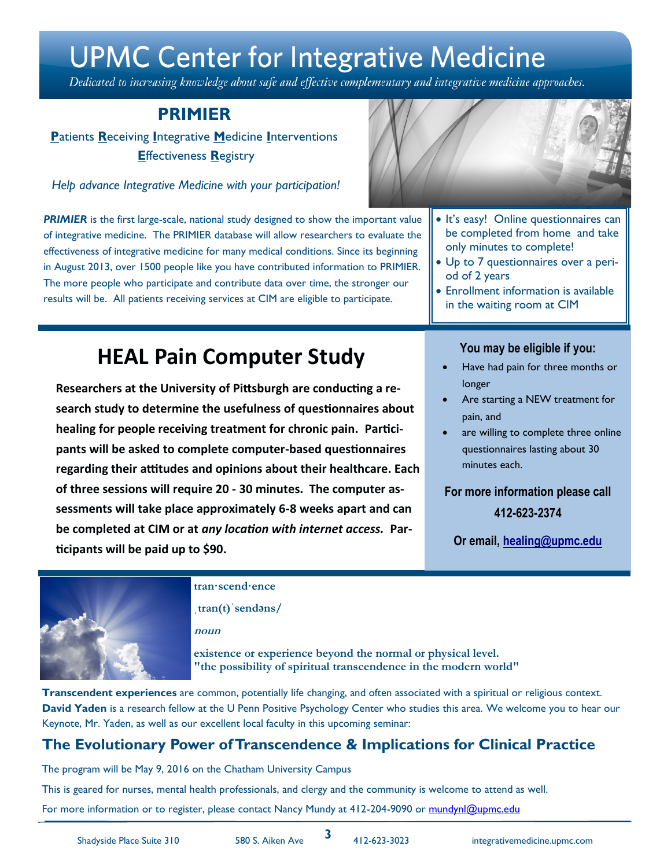## **UPMC Center for Integrative Medicine**

Dedicated to increasing knowledge about safe and effective complementary and integrative medicine approaches.

## **PRIMIER**

**P**atients **R**eceiving **I**ntegrative **M**edicine **I**nterventions **E**ffectiveness **R**egistry

*Help advance Integrative Medicine with your participation!* 

**PRIMIER** is the first large-scale, national study designed to show the important value of integrative medicine. The PRIMIER database will allow researchers to evaluate the effectiveness of integrative medicine for many medical conditions. Since its beginning in August 2013, over 1500 people like you have contributed information to PRIMIER. The more people who participate and contribute data over time, the stronger our results will be. All patients receiving services at CIM are eligible to participate.

## **HEAL Pain Computer Study**

**Researchers at the University of Pittsburgh are conducting a research study to determine the usefulness of questionnaires about healing for people receiving treatment for chronic pain. Participants will be asked to complete computer-based questionnaires regarding their attitudes and opinions about their healthcare. Each of three sessions will require 20 - 30 minutes. The computer assessments will take place approximately 6-8 weeks apart and can be completed at CIM or at** *any location with internet access.* **Participants will be paid up to \$90.**



- It's easy! Online questionnaires can be completed from home and take only minutes to complete!
- Up to 7 questionnaires over a period of 2 years
- Enrollment information is available in the waiting room at CIM

#### **You may be eligible if you:**

- Have had pain for three months or longer
- Are starting a NEW treatment for pain, and
- are willing to complete three online questionnaires lasting about 30 minutes each.

## **For more information please call 412-623-2374**

**Or email, healing@upmc.edu**



#### **tran·scend·ence**

**ˌtran(t)ˈsendəns/**

**noun**

**existence or experience beyond the normal or physical level. "the possibility of spiritual transcendence in the modern world"**

**Transcendent experiences** are common, potentially life changing, and often associated with a spiritual or religious context. **David Yaden** is a research fellow at the U Penn Positive Psychology Center who studies this area. We welcome you to hear our Keynote, Mr. Yaden, as well as our excellent local faculty in this upcoming seminar:

## **The Evolutionary Power of Transcendence & Implications for Clinical Practice**

The program will be May 9, 2016 on the Chatham University Campus

This is geared for nurses, mental health professionals, and clergy and the community is welcome to attend as well.

For more information or to register, please contact Nancy Mundy at 412-204-9090 or [mundynl@upmc.edu](mailto:mundynl@upmc.edu)